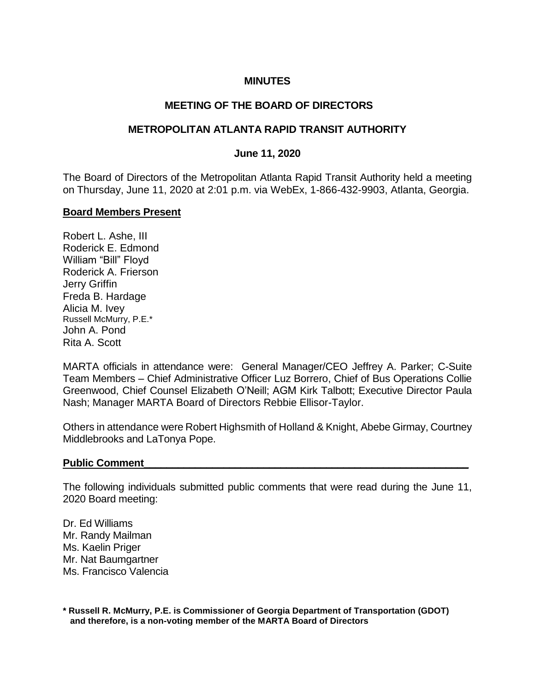## **MINUTES**

## **MEETING OF THE BOARD OF DIRECTORS**

## **METROPOLITAN ATLANTA RAPID TRANSIT AUTHORITY**

### **June 11, 2020**

The Board of Directors of the Metropolitan Atlanta Rapid Transit Authority held a meeting on Thursday, June 11, 2020 at 2:01 p.m. via WebEx, 1-866-432-9903, Atlanta, Georgia.

#### **Board Members Present**

Robert L. Ashe, III Roderick E. Edmond William "Bill" Floyd Roderick A. Frierson Jerry Griffin Freda B. Hardage Alicia M. Ivey Russell McMurry, P.E.\* John A. Pond Rita A. Scott

MARTA officials in attendance were: General Manager/CEO Jeffrey A. Parker; C-Suite Team Members – Chief Administrative Officer Luz Borrero, Chief of Bus Operations Collie Greenwood, Chief Counsel Elizabeth O'Neill; AGM Kirk Talbott; Executive Director Paula Nash; Manager MARTA Board of Directors Rebbie Ellisor-Taylor.

Others in attendance were Robert Highsmith of Holland & Knight, Abebe Girmay, Courtney Middlebrooks and LaTonya Pope.

#### Public Comment

The following individuals submitted public comments that were read during the June 11, 2020 Board meeting:

Dr. Ed Williams Mr. Randy Mailman Ms. Kaelin Priger Mr. Nat Baumgartner Ms. Francisco Valencia

**\* Russell R. McMurry, P.E. is Commissioner of Georgia Department of Transportation (GDOT) and therefore, is a non-voting member of the MARTA Board of Directors**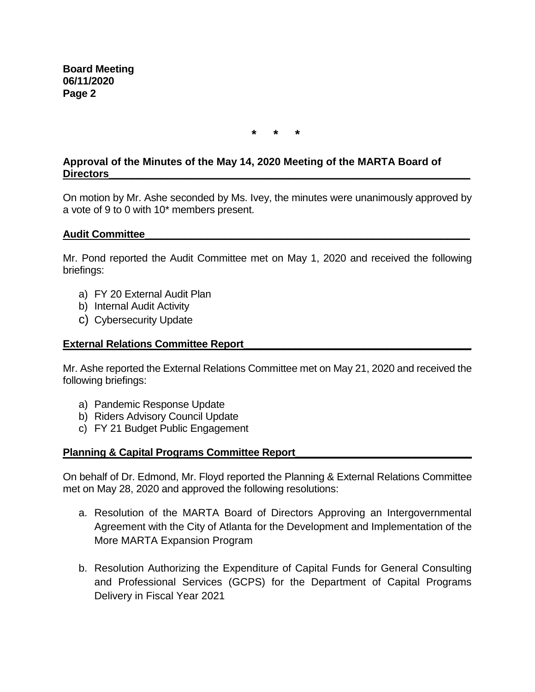**\* \* \***

# **Approval of the Minutes of the May 14, 2020 Meeting of the MARTA Board of Directors\_\_\_\_\_\_\_\_\_\_\_\_\_\_\_\_\_\_\_\_\_\_\_\_\_\_\_\_\_\_\_\_\_\_\_\_\_\_\_\_\_\_\_\_\_\_\_\_\_\_\_\_\_\_\_\_\_\_\_\_\_\_**

On motion by Mr. Ashe seconded by Ms. Ivey, the minutes were unanimously approved by a vote of 9 to 0 with 10\* members present.

## **Audit Committee\_\_\_\_\_\_\_\_\_\_\_\_\_\_\_\_\_\_\_\_\_\_\_\_\_\_\_\_\_\_\_\_\_\_\_\_\_\_\_\_\_\_\_\_\_\_\_\_\_\_\_\_\_\_\_\_\_**

Mr. Pond reported the Audit Committee met on May 1, 2020 and received the following briefings:

- a) FY 20 External Audit Plan
- b) Internal Audit Activity
- c) Cybersecurity Update

## **External Relations Committee Report\_\_\_\_\_\_\_\_\_\_\_\_\_\_\_\_\_\_\_\_\_\_\_\_\_\_\_\_\_\_\_\_\_\_\_\_\_\_\_\_**

Mr. Ashe reported the External Relations Committee met on May 21, 2020 and received the following briefings:

- a) Pandemic Response Update
- b) Riders Advisory Council Update
- c) FY 21 Budget Public Engagement

### **Planning & Capital Programs Committee Report\_\_\_\_\_\_\_\_\_\_\_\_\_\_\_\_\_\_\_\_\_\_\_\_\_\_\_\_\_\_\_**

On behalf of Dr. Edmond, Mr. Floyd reported the Planning & External Relations Committee met on May 28, 2020 and approved the following resolutions:

- a. Resolution of the MARTA Board of Directors Approving an Intergovernmental Agreement with the City of Atlanta for the Development and Implementation of the More MARTA Expansion Program
- b. Resolution Authorizing the Expenditure of Capital Funds for General Consulting and Professional Services (GCPS) for the Department of Capital Programs Delivery in Fiscal Year 2021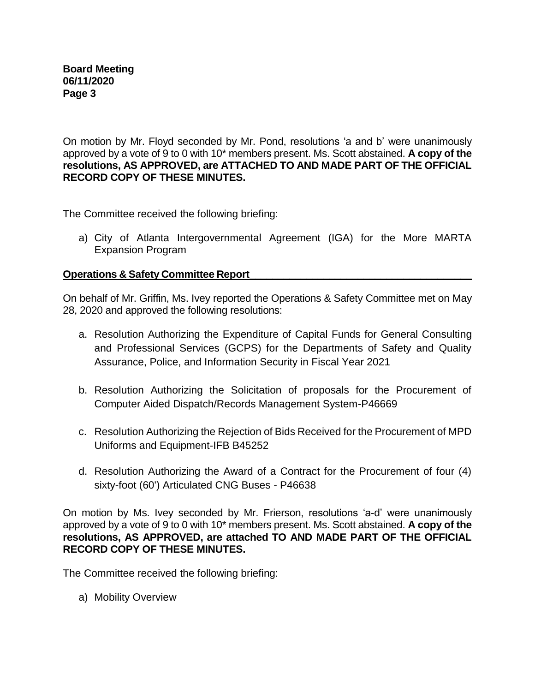On motion by Mr. Floyd seconded by Mr. Pond, resolutions 'a and b' were unanimously approved by a vote of 9 to 0 with 10\* members present. Ms. Scott abstained. **A copy of the resolutions, AS APPROVED, are ATTACHED TO AND MADE PART OF THE OFFICIAL RECORD COPY OF THESE MINUTES.**

The Committee received the following briefing:

a) City of Atlanta Intergovernmental Agreement (IGA) for the More MARTA Expansion Program

# **Operations & Safety Committee Report**

On behalf of Mr. Griffin, Ms. Ivey reported the Operations & Safety Committee met on May 28, 2020 and approved the following resolutions:

- a. Resolution Authorizing the Expenditure of Capital Funds for General Consulting and Professional Services (GCPS) for the Departments of Safety and Quality Assurance, Police, and Information Security in Fiscal Year 2021
- b. Resolution Authorizing the Solicitation of proposals for the Procurement of Computer Aided Dispatch/Records Management System-P46669
- c. Resolution Authorizing the Rejection of Bids Received for the Procurement of MPD Uniforms and Equipment-IFB B45252
- d. Resolution Authorizing the Award of a Contract for the Procurement of four (4) sixty-foot (60') Articulated CNG Buses - P46638

On motion by Ms. Ivey seconded by Mr. Frierson, resolutions 'a-d' were unanimously approved by a vote of 9 to 0 with 10\* members present. Ms. Scott abstained. **A copy of the resolutions, AS APPROVED, are attached TO AND MADE PART OF THE OFFICIAL RECORD COPY OF THESE MINUTES.**

The Committee received the following briefing:

a) Mobility Overview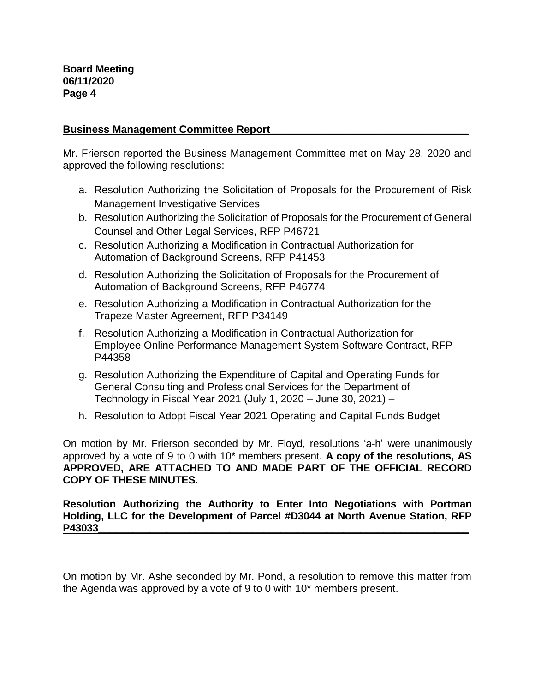## **Business Management Committee Report\_\_\_\_\_\_\_\_\_\_\_\_\_\_\_\_\_\_\_\_\_\_\_\_\_\_\_\_\_\_\_\_\_\_**

Mr. Frierson reported the Business Management Committee met on May 28, 2020 and approved the following resolutions:

- a. Resolution Authorizing the Solicitation of Proposals for the Procurement of Risk Management Investigative Services
- b. Resolution Authorizing the Solicitation of Proposals for the Procurement of General Counsel and Other Legal Services, RFP P46721
- c. Resolution Authorizing a Modification in Contractual Authorization for Automation of Background Screens, RFP P41453
- d. Resolution Authorizing the Solicitation of Proposals for the Procurement of Automation of Background Screens, RFP P46774
- e. Resolution Authorizing a Modification in Contractual Authorization for the Trapeze Master Agreement, RFP P34149
- f. Resolution Authorizing a Modification in Contractual Authorization for Employee Online Performance Management System Software Contract, RFP P44358
- g. Resolution Authorizing the Expenditure of Capital and Operating Funds for General Consulting and Professional Services for the Department of Technology in Fiscal Year 2021 (July 1, 2020 – June 30, 2021) –
- h. Resolution to Adopt Fiscal Year 2021 Operating and Capital Funds Budget

On motion by Mr. Frierson seconded by Mr. Floyd, resolutions 'a-h' were unanimously approved by a vote of 9 to 0 with 10\* members present. **A copy of the resolutions, AS APPROVED, ARE ATTACHED TO AND MADE PART OF THE OFFICIAL RECORD COPY OF THESE MINUTES.**

**Resolution Authorizing the Authority to Enter Into Negotiations with Portman Holding, LLC for the Development of Parcel #D3044 at North Avenue Station, RFP P43033\_\_\_\_\_\_\_\_\_\_\_\_\_\_\_\_\_\_\_\_\_\_\_\_\_\_\_\_\_\_\_\_\_\_\_\_\_\_\_\_\_\_\_\_\_\_\_\_\_\_\_\_\_\_\_\_\_\_\_\_\_\_\_\_\_**

On motion by Mr. Ashe seconded by Mr. Pond, a resolution to remove this matter from the Agenda was approved by a vote of 9 to 0 with 10\* members present.